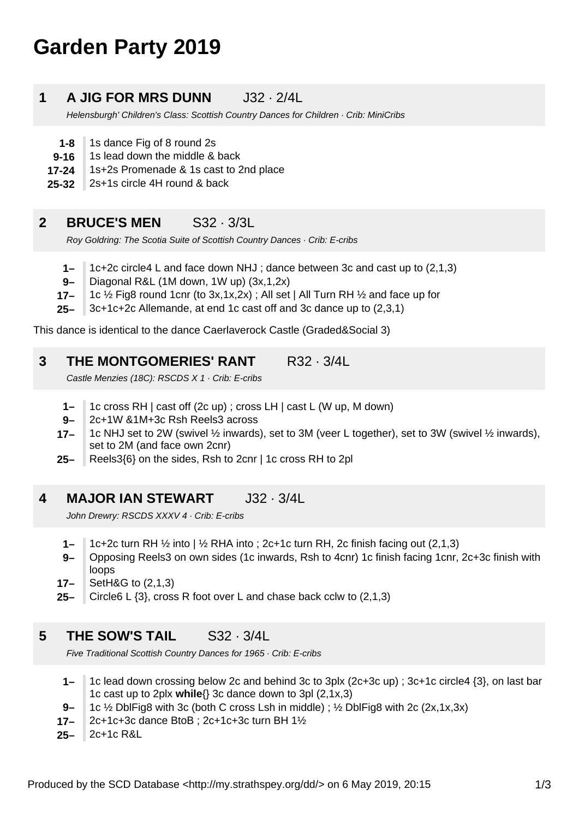# **Garden Party 2019**

## **1 A JIG FOR MRS DUNN** J32 · 2/4L

Helensburgh' Children's Class: Scottish Country Dances for Children · Crib: MiniCribs

- **1-8** 1s dance Fig of 8 round 2s
- **9-16** 1s lead down the middle & back
- **17-24** 1s+2s Promenade & 1s cast to 2nd place
- **25-32** 2s+1s circle 4H round & back

#### **2 BRUCE'S MEN** S32 · 3/3L

Roy Goldring: The Scotia Suite of Scottish Country Dances · Crib: E-cribs

- **1–** 1c+2c circle4 L and face down NHJ ; dance between 3c and cast up to (2,1,3)
- **9–** Diagonal R&L (1M down, 1W up) (3x,1,2x)
- **17–** 1c ½ Fig8 round 1cnr (to 3x,1x,2x) ; All set | All Turn RH ½ and face up for
- **25–** 3c+1c+2c Allemande, at end 1c cast off and 3c dance up to (2,3,1)

This dance is identical to the dance Caerlaverock Castle (Graded&Social 3)

#### **3 THE MONTGOMERIES' RANT R32 · 3/4L**

Castle Menzies (18C): RSCDS X 1 · Crib: E-cribs

- **1–** 1c cross RH | cast off (2c up) ; cross LH | cast L (W up, M down)
- **9–** 2c+1W &1M+3c Rsh Reels3 across
- **17–** 1c NHJ set to 2W (swivel ½ inwards), set to 3M (veer L together), set to 3W (swivel ½ inwards), set to 2M (and face own 2cnr)
- **25–** Reels3{6} on the sides, Rsh to 2cnr | 1c cross RH to 2pl

#### **4 MAJOR IAN STEWART** J32 · 3/4L

John Drewry: RSCDS XXXV 4 · Crib: E-cribs

- **1–** 1c+2c turn RH  $\frac{1}{2}$  into |  $\frac{1}{2}$  RHA into; 2c+1c turn RH, 2c finish facing out (2,1,3)
- **9–** Opposing Reels3 on own sides (1c inwards, Rsh to 4cnr) 1c finish facing 1cnr, 2c+3c finish with loops
- **17–** SetH&G to (2,1,3)
- **25–** Circle6 L {3}, cross R foot over L and chase back cclw to (2,1,3)

### **5 THE SOW'S TAIL** S32 · 3/4L

Five Traditional Scottish Country Dances for 1965 · Crib: E-cribs

- **1–** 1c lead down crossing below 2c and behind 3c to 3plx (2c+3c up) ; 3c+1c circle4 {3}, on last bar 1c cast up to 2plx **while**{} 3c dance down to 3pl (2,1x,3)
- **9–** 1c ½ DblFig8 with 3c (both C cross Lsh in middle) ; ½ DblFig8 with 2c (2x,1x,3x)
- **17–** 2c+1c+3c dance BtoB ; 2c+1c+3c turn BH 1½
- **25–** 2c+1c R&L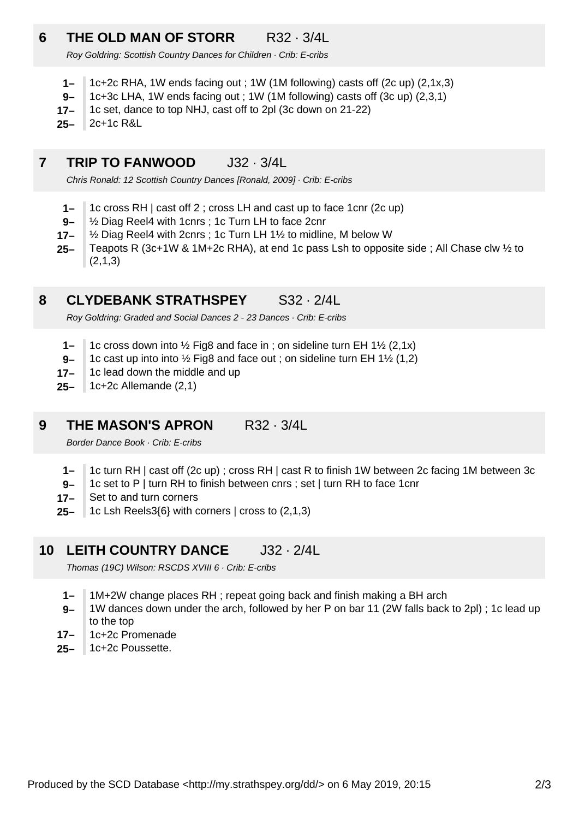# **6 THE OLD MAN OF STORR** R32 · 3/4L

Roy Goldring: Scottish Country Dances for Children · Crib: E-cribs

- **1–** 1c+2c RHA, 1W ends facing out ; 1W (1M following) casts off (2c up) (2,1x,3)
- **9–** 1c+3c LHA, 1W ends facing out ; 1W (1M following) casts off (3c up) (2,3,1)
- **17–** 1c set, dance to top NHJ, cast off to 2pl (3c down on 21-22)
- **25–** 2c+1c R&L

#### **7 TRIP TO FANWOOD** J32 · 3/4L

Chris Ronald: 12 Scottish Country Dances [Ronald, 2009] · Crib: E-cribs

- **1–** 1c cross RH | cast off 2 ; cross LH and cast up to face 1cnr (2c up)
- **9–** ½ Diag Reel4 with 1cnrs ; 1c Turn LH to face 2cnr
- **17–** ½ Diag Reel4 with 2cnrs ; 1c Turn LH 1½ to midline, M below W
- **25–** Teapots R (3c+1W & 1M+2c RHA), at end 1c pass Lsh to opposite side ; All Chase clw ½ to (2,1,3)

#### **8 CLYDEBANK STRATHSPEY** S32 · 2/4L

Roy Goldring: Graded and Social Dances 2 - 23 Dances · Crib: E-cribs

- **1–** 1c cross down into  $\frac{1}{2}$  Fig8 and face in ; on sideline turn EH 1 $\frac{1}{2}$  (2,1x)
- **9–** 1c cast up into into ½ Fig8 and face out ; on sideline turn EH 1½ (1,2)
- **17–** 1c lead down the middle and up
- **25–** 1c+2c Allemande (2,1)

### **9 THE MASON'S APRON R32 · 3/4L**

Border Dance Book · Crib: E-cribs

- **1–** 1c turn RH | cast off (2c up) ; cross RH | cast R to finish 1W between 2c facing 1M between 3c
- **9–** 1c set to P | turn RH to finish between cnrs ; set | turn RH to face 1cnr
- **17–** Set to and turn corners
- **25–** 1c Lsh Reels3{6} with corners | cross to (2,1,3)

## **10 LEITH COUNTRY DANCE** J32 · 2/4L

Thomas (19C) Wilson: RSCDS XVIII 6 · Crib: E-cribs

- **1–** 1M+2W change places RH ; repeat going back and finish making a BH arch
- **9–** 1W dances down under the arch, followed by her P on bar 11 (2W falls back to 2pl) ; 1c lead up to the top
- **17–** 1c+2c Promenade
- **25–** 1c+2c Poussette.